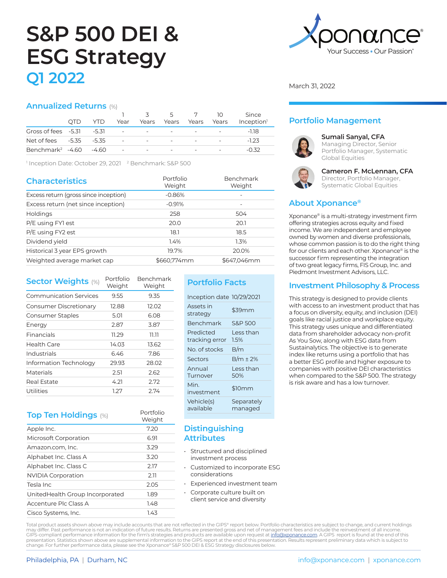# **S&P 500 DEI & ESG Strategy Q1 2022**

### **Annualized Returns** (%)

|                                        |      |      |                        |                                      | 3 5 7 10                |                                 |                          | Since                  |
|----------------------------------------|------|------|------------------------|--------------------------------------|-------------------------|---------------------------------|--------------------------|------------------------|
|                                        | OTD. | YTD. | Year                   |                                      | Years Years Years Years |                                 |                          | Inception <sup>1</sup> |
| Gross of fees $-5.31 -5.31$            |      |      |                        | the company's state of the company's |                         | the company's company's service |                          | -118                   |
| Net of fees -5.35 -5.35                |      |      | <b>Service</b> State   | $\sim$                               |                         | $\sim$                          | $\sim$                   | -123                   |
| Benchmark <sup>2</sup> $-4.60$ $-4.60$ |      |      | <b>Service Control</b> | $\overline{\phantom{a}}$             |                         |                                 | $\overline{\phantom{a}}$ | -0.32                  |

<sup>1</sup> Inception Date: October 29, 2021 <sup>2</sup> Benchmark: S&P 500

| <b>Characteristics</b>                | Portfolio<br>Weight | Benchmark<br>Weight |
|---------------------------------------|---------------------|---------------------|
| Excess return (gross since inception) | $-0.86%$            |                     |
| Excess return (net since inception)   | $-0.91%$            |                     |
| <b>Holdings</b>                       | 258                 | 504                 |
| P/E using FY1 est                     | 20.0                | 20.1                |
| P/E using FY2 est                     | 18.1                | 18.5                |
| Dividend yield                        | 1.4%                | 1.3%                |
| Historical 3 year EPS growth          | 19.7%               | 20.0%               |
| Weighted average market cap           | \$660.774mm         | \$647.046mm         |

| <b>Sector Weights (%)</b>     | Portfolio<br>Weight | <b>Benchmark</b><br>Weight |
|-------------------------------|---------------------|----------------------------|
| <b>Communication Services</b> | 9.55                | 9.35                       |
| Consumer Discretionary        | 12.88               | 12.02                      |
| Consumer Staples              | 5.01                | 6.08                       |
| Energy                        | 2.87                | 3.87                       |
| Financials                    | 11.29               | דר רר                      |
| Health Care                   | 14.03               | 13.62                      |
| Industrials                   | 6.46                | 7.86                       |
| Information Technology        | 29.93               | 28.02                      |
| Materials                     | 2.51                | 2.62                       |
| Real Estate                   | 4.21                | 2.72                       |
| Utilities                     | 1.27                | 2.74                       |

# **Top Ten Holdings** (%) Portfolio

|                                  | Weight |
|----------------------------------|--------|
| Apple Inc.                       | 7.20   |
| Microsoft Corporation            | 6.91   |
| Amazon.com, Inc.                 | 3.29   |
| Alphabet Inc. Class A            | 3.20   |
| Alphabet Inc. Class C            | 2.17   |
| <b>NVIDIA Corporation</b>        | 2.11   |
| Tesla Inc                        | 2.05   |
| United Health Group Incorporated | 1.89   |
| Accenture Plc Class A            | 1.48   |
| Cisco Systems, Inc.              | 1.43   |

# **Portfolio Facts**

| Inception date 10/29/2021   |                       |
|-----------------------------|-----------------------|
| Assets in<br>strategy       | \$39mm                |
| Benchmark                   | <b>S&amp;P 500</b>    |
| Predicted<br>tracking error | I ess than<br>1.5%    |
| No. of stocks               | B/m                   |
| Sectors                     | $B/m \pm 2\%$         |
| Annual<br>Turnover          | Less than<br>50%      |
| Min.<br>investment          | \$10mm                |
| Vehicle(s)<br>available     | Separately<br>managed |

## **Distinguishing Attributes**

- Structured and disciplined investment process
- Customized to incorporate ESG considerations
- Experienced investment team
- Corporate culture built on client service and diversity

**N.C** Your Success • Our Passion

March 31, 2022

# **Portfolio Management**



#### **Sumali Sanyal, CFA**

Managing Director, Senior Portfolio Manager, Systematic Global Equities



#### **Cameron F. McLennan, CFA** Director, Portfolio Manager, Systematic Global Equities

# **About Xponance®**

Xponance® is a multi-strategy investment firm offering strategies across equity and fixed income. We are independent and employee owned by women and diverse professionals, whose common passion is to do the right thing for our clients and each other. Xponance® is the successor firm representing the integration of two great legacy firms, FIS Group, Inc. and Piedmont Investment Advisors, LLC.

# **Investment Philosophy & Process**

This strategy is designed to provide clients with access to an investment product that has a focus on diversity, equity, and inclusion (DEI) goals like racial justice and workplace equity. This strategy uses unique and differentiated data from shareholder advocacy non-profit As You Sow, along with ESG data from Sustainalytics. The objective is to generate index like returns using a portfolio that has a better ESG profile and higher exposure to companies with positive DEI characteristics when compared to the S&P 500. The strategy is risk aware and has a low turnover.

Total product assets shown above may include accounts that are not reflected in the GIPS® report below. Portfolio characteristics are subject to change, and current holdings may differ. Past performance is not an indication of future results. Returns are presented gross and net of management fees and include the reinvestment of all income. GIPS-compliant performance information for the firm's strategies and products are available upon request at <u>info@xponance.com</u>. A GIPS report is found at the end of this<br>presentation. Statistics shown above are supplement change. For further performance data, please see the Xponance® S&P 500 DEI & ESG Strategy disclosures below.